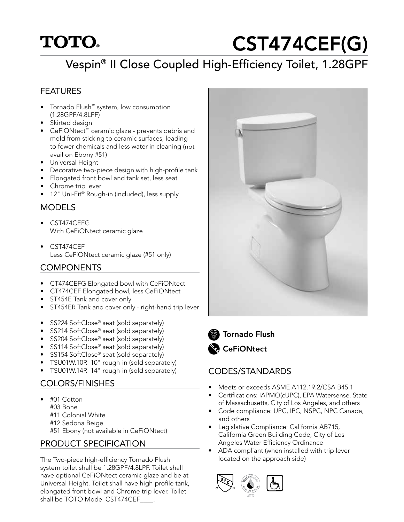## **TOTO**

# CST474CEF(G)

## Vespin® II Close Coupled High-Efficiency Toilet, 1.28GPF

#### FEATURES

- Tornado Flush™ system, low consumption (1.28GPF/4.8LPF)
- Skirted design
- CeFiONtect™ ceramic glaze prevents debris and mold from sticking to ceramic surfaces, leading to fewer chemicals and less water in cleaning (not avail on Ebony #51)
- Universal Height
- Decorative two-piece design with high-profile tank
- Elongated front bowl and tank set, less seat
- Chrome trip lever
- 12" Uni-Fit® Rough-in (included), less supply

#### **MODELS**

- CST474CEFG With CeFiONtect ceramic glaze
- CST474CEF Less CeFiONtect ceramic glaze (#51 only)

#### COMPONENTS

- CT474CEFG Elongated bowl with CeFiONtect
- CT474CEF Elongated bowl, less CeFiONtect
- ST454E Tank and cover only
- ST454ER Tank and cover only right-hand trip lever
- SS224 SoftClose® seat (sold separately)
- SS214 SoftClose® seat (sold separately)
- SS204 SoftClose® seat (sold separately)
- SS114 SoftClose<sup>®</sup> seat (sold separately)
- SS154 SoftClose® seat (sold separately)
- TSU01W.10R 10" rough-in (sold separately)
- TSU01W.14R 14" rough-in (sold separately)

#### COLORS/FINISHES

• #01 Cotton #03 Bone #11 Colonial White #12 Sedona Beige #51 Ebony (not available in CeFiONtect)

#### PRODUCT SPECIFICATION

The Two-piece high-efficiency Tornado Flush system toilet shall be 1.28GPF/4.8LPF. Toilet shall have optional CeFiONtect ceramic glaze and be at Universal Height. Toilet shall have high-profile tank, elongated front bowl and Chrome trip lever. Toilet shall be TOTO Model CST474CEF





#### Tornado Flush **CeFiONtect**

#### CODES/STANDARDS

- Meets or exceeds ASME A112.19.2/CSA B45.1
- Certifications: IAPMO(cUPC), EPA Watersense, State of Massachusetts, City of Los Angeles, and others
- Code compliance: UPC, IPC, NSPC, NPC Canada, and others
- Legislative Compliance: California AB715, California Green Building Code, City of Los Angeles Water Efficiency Ordinance
- ADA compliant (when installed with trip lever located on the approach side)